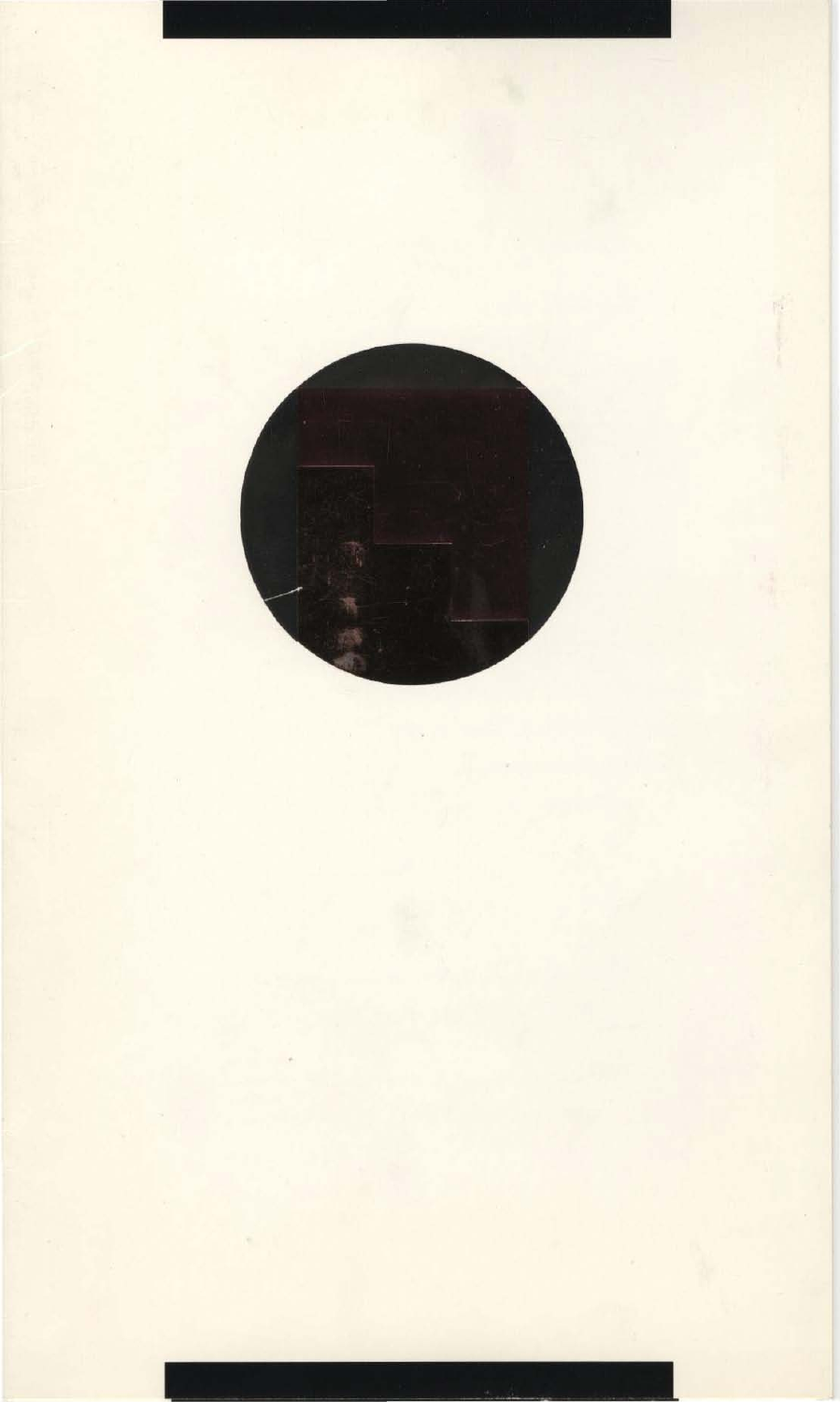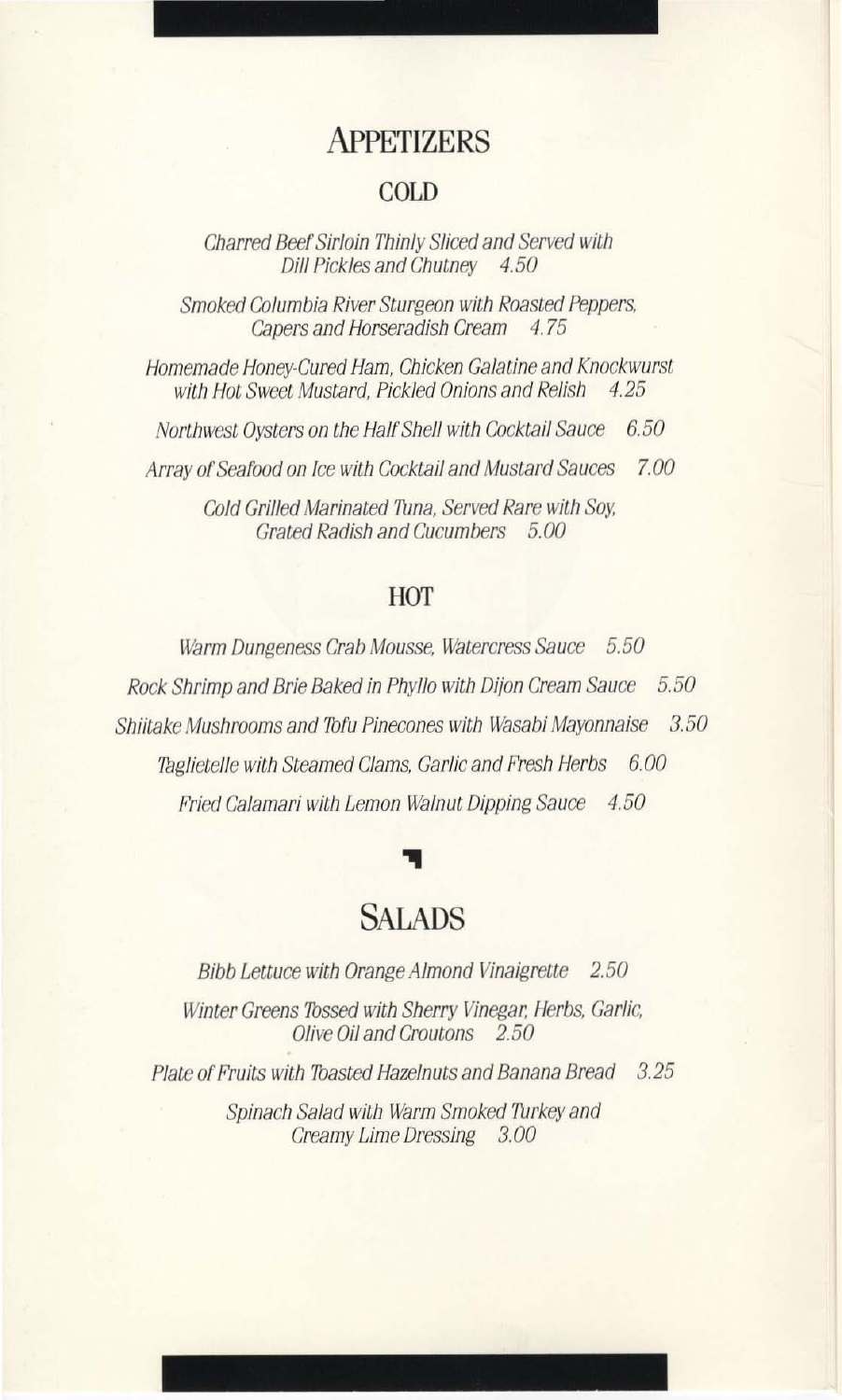### **APPETIZERS**

#### **COLD**

Charred Beef Sirloin Thinly Sliced and Served with Dill Pickles and Chutney 4.50

Smoked Columbia River Sturgeon with Roasted Peppers, Capers and Horseradish Cream 4.75

Homemade Honey-Cured Ham, Chicken Galatine and Knockwurst with Hot Sweet Mustard, Pickled Onions and Relish 4.25

Northwest Oysters on the Half Shell with Cocktail Sauce 6.50

Array of Seafood on Ice with Cocktail and Mustard Sauces 7.00

> Cold Grilled Marinated Tuna. Served Rare with Soy. Grated Radish and Cucumbers 5.00

#### **HOT**

Warm Dungeness Crab Mousse, Watercress Sauce 5.50 Rock Shrimp and Brie Baked in Phyllo with Dijon Cream Sauce 5.50 Shiitake Mushrooms and Tofu Pinecones with Wasabi Mayonnaise 3.50 Taglietelle with Steamed Clams, Garlic and Fresh Herbs 6.00 Fried Calamari with Lemon Walnut Dipping Sauce 4.50

## **SALADS**

Bibb Lettuce with Orange Almond Vinaigrette 2.50

Winter Greens Tossed with Sherry Vinegar, Herbs, Garlic, Olive Oil and Croutons 2.50

Plate of Fruits with Toasted Hazelnuts and Banana Bread 3.25

Spinach Salad with Warm Smoked Turkey and Creamy Lime Dressing 3.00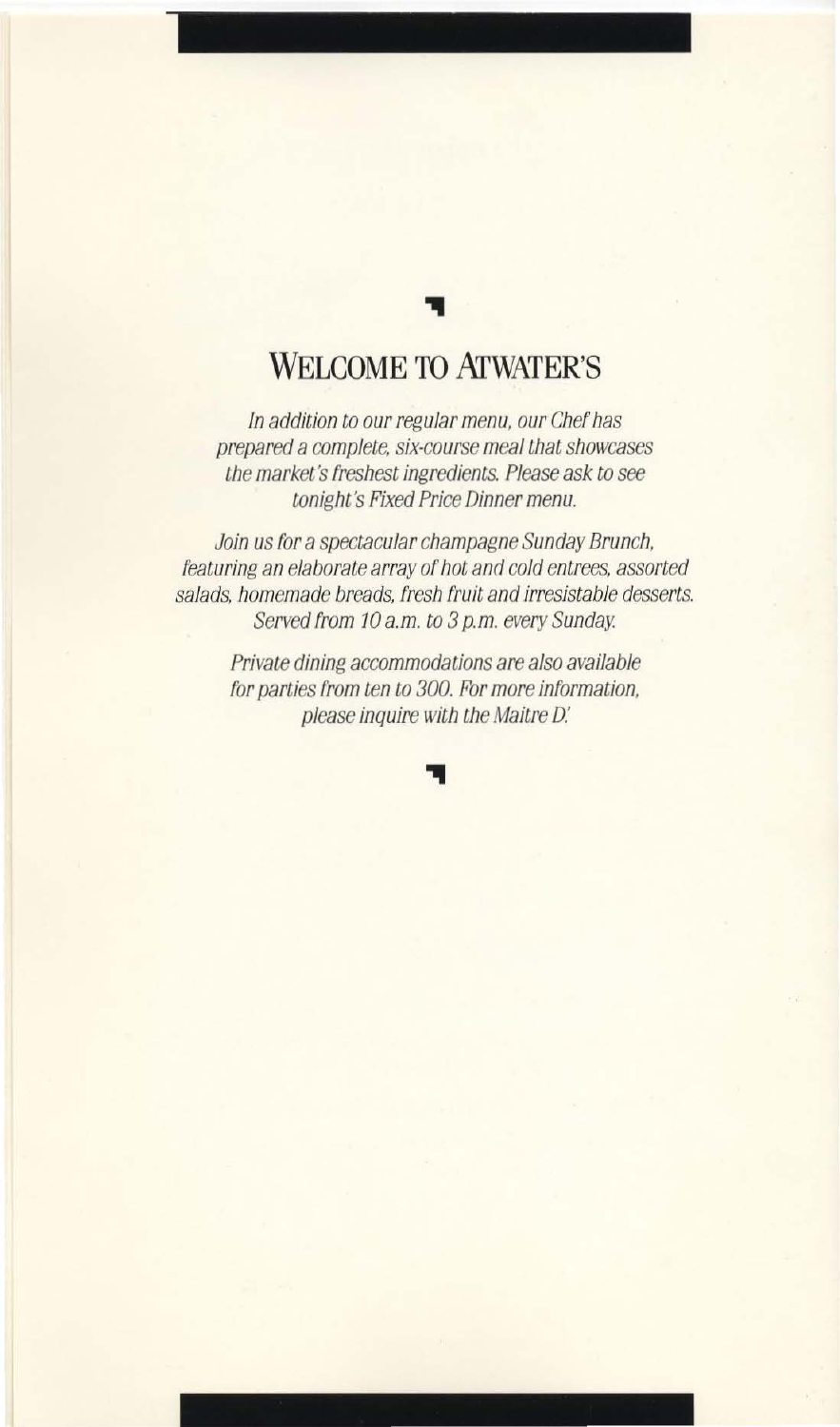# **WELCOME ro ATWATER'S**

...

In addition to our regular menu, our Chef has prepared a complete, six-course meal that showcases the market's freshest ingredients. Please ask to see tonight's Fixed Price Dinner menu.

Join us for a spectacular champagne Sunday Brunch, featuring an elaborate array of hot and cold entrees, assorted salads, homemade breads, fresh fruit and irresistable desserts. Served from 10 a.m. to 3 p.m. every Sunday.

> Private dining accommodations are also available for parties from ten to 300. For more information, please inquire with the Maitre D:

> > ...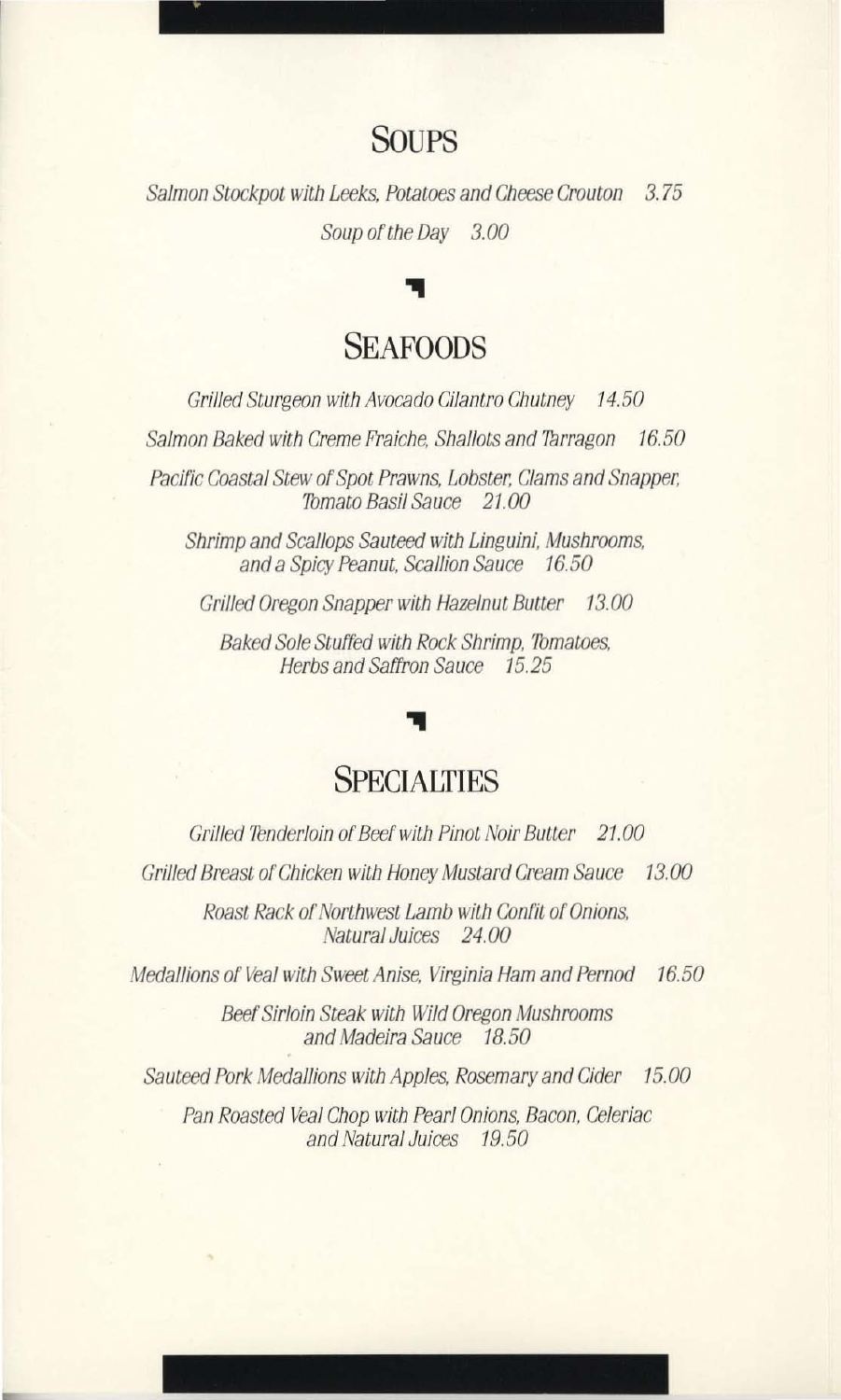## **SOUPS**

Salmon Stockpot with Leeks, Potatoes and Cheese Crouton 3.75 Soup of the Day 3.00

## **SEAFOODS**

..

Grilled Sturgeon with Avocado Cilantro Chutney 14.50 Salmon Baked with Creme Fraiche, Shallots and Tarragon 16.50 Pacific Coastal Stew of Spot Prawns, Lobster. Clams and Snapper. 1bmato Basil Sauce 21.00 Shrimp and Scallops Sauteed with Linguini, Mushrooms, and a Spicy Peanut, Scallion Sauce 16.50 Grilled Oregon Snapper with Hazelnut Butter 13.00

> Baked Sole Stuffed with Rock Shrimp, Tomatoes, Herbs and Saffron Sauce 15.25

## **SPECIALTIES**

..

Grilled Tenderloin of Beef with Pinot Noir Butter 21.00 Grilled Breast of Chicken with Honey Mustard Cream Sauce 13.00

Roast Rack of Northwest Lamb with Confit of Onions, Natural Juices 24.00

Medallions of Veal with Sweet Anise, Virginia Ham and Pernod 16.50

Beef Sirloin Steak with Wild Oregon Mushrooms and Madeira Sauce 18.50

Sauteed Pork Medallions with Apples, Rosemary and Cider 15.00

Pan Roasted Veal Chop with Pearl Onions, Bacon, Celeriac and Natural Juices 19.50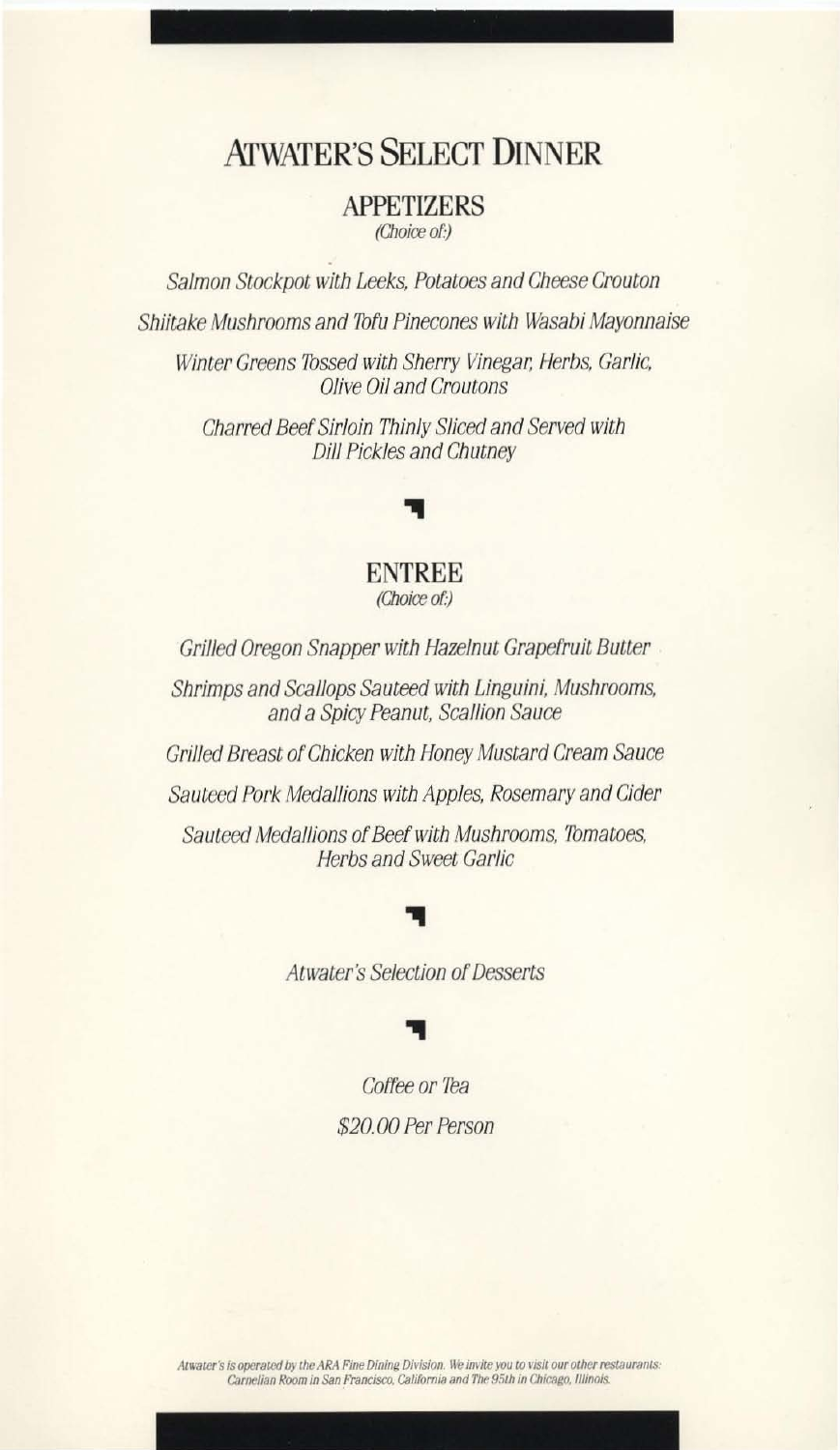# **ATWATER'S SELECT DINNER**

#### **APPETIZERS** (Choice of:)

Salmon Stockpot with Leeks, Potatoes and Cheese Crouton

Shiitake Mushrooms and Tofu Pinecones with Wasabi Mayonnaise

Winter Greens Tossed with Sherry Vinegar, Herbs, Garlic, **Olive Oil and Croutons** 

Charred Beef Sirloin Thinly Sliced and Served with **Dill Pickles and Chutney** 

#### **ENTREE** (Choice of:)

Grilled Oregon Snapper with Hazelnut Grapefruit Butter

Shrimps and Scallops Sauteed with Linguini, Mushrooms, and a Spicy Peanut, Scallion Sauce

Grilled Breast of Chicken with Honey Mustard Cream Sauce

Sauteed Pork Medallions with Apples, Rosemary and Cider

Sauteed Medallions of Beef with Mushrooms, Tomatoes, **Herbs and Sweet Garlic** 

**Atwater's Selection of Desserts** 

Coffee or Tea \$20.00 Per Person

Atwater's is operated by the ARA Fine Dining Division. We invite you to visit our other restaurants: Carnelian Room in San Francisco, California and The 95th in Chicago, Illinois.